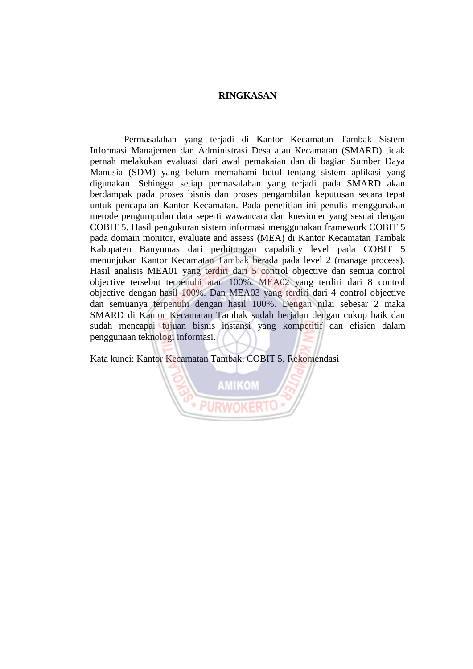## **RINGKASAN**

Permasalahan yang terjadi di Kantor Kecamatan Tambak Sistem Informasi Manajemen dan Administrasi Desa atau Kecamatan (SMARD) tidak pernah melakukan evaluasi dari awal pemakaian dan di bagian Sumber Daya Manusia (SDM) yang belum memahami betul tentang sistem aplikasi yang digunakan. Sehingga setiap permasalahan yang terjadi pada SMARD akan berdampak pada proses bisnis dan proses pengambilan keputusan secara tepat untuk pencapaian Kantor Kecamatan. Pada penelitian ini penulis menggunakan metode pengumpulan data seperti wawancara dan kuesioner yang sesuai dengan COBIT 5. Hasil pengukuran sistem informasi menggunakan framework COBIT 5 pada domain monitor, evaluate and assess (MEA) di Kantor Kecamatan Tambak Kabupaten Banyumas dari perhitungan capability level pada COBIT 5 menunjukan Kantor Kecamatan Tambak berada pada level 2 (manage process). Hasil analisis MEA01 yang terdiri dari 5 control objective dan semua control objective tersebut terpenuhi atau 100%. MEA02 yang terdiri dari 8 control objective dengan hasil 100%. Dan MEA03 yang terdiri dari 4 control objective dan semuanya terpenuhi dengan hasil 100%. Dengan nilai sebesar 2 maka SMARD di Kantor Kecamatan Tambak sudah berjalan dengan cukup baik dan sudah mencapai tujuan bisnis instansi yang kompetitif dan efisien dalam penggunaan teknologi informasi.

Kata kunci: Kantor Kecamatan Tambak, COBIT 5, Rekomendasi

**AMIKOM**